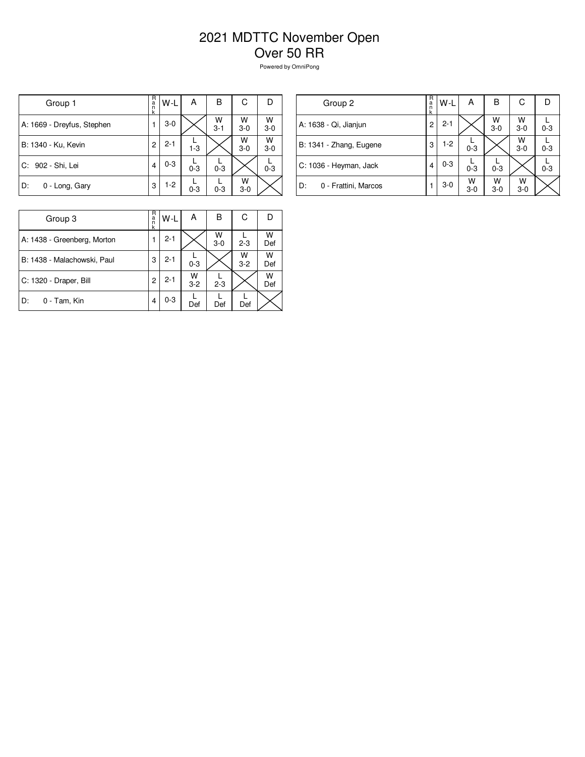## 2021 MDTTC November Open Over 50 RR

Powered by OmniPong

| Group 1                    | R<br>а́<br>n<br>k | W-L     | А       | В            | С          | D          |
|----------------------------|-------------------|---------|---------|--------------|------------|------------|
| A: 1669 - Dreyfus, Stephen |                   | $3-0$   |         | W<br>$3 - 1$ | W<br>$3-0$ | W<br>$3-0$ |
| B: 1340 - Ku, Kevin        | $\overline{2}$    | $2 - 1$ | $1 - 3$ |              | W<br>$3-0$ | W<br>$3-0$ |
| C: 902 - Shi, Lei          | 4                 | $0 - 3$ | $0 - 3$ | $0 - 3$      |            | $0 - 3$    |
| D:<br>0 - Long, Gary       | 3                 | $1-2$   | $0 - 3$ | $0 - 3$      | W<br>$3-0$ |            |

| Group 2                     | R<br>$\frac{a}{n}$<br>k | W-L     | A          | в            | С          | Ð       |
|-----------------------------|-------------------------|---------|------------|--------------|------------|---------|
| A: 1638 - Qi, Jianjun       | 2                       | $2 - 1$ |            | W<br>$3 - 0$ | W<br>$3-0$ | $0 - 3$ |
| B: 1341 - Zhang, Eugene     | 3                       | $1-2$   | $0 - 3$    |              | W<br>$3-0$ | $0 - 3$ |
| C: 1036 - Heyman, Jack      | 4                       | $0 - 3$ | $0 - 3$    | $0 - 3$      |            | $0 - 3$ |
| 0 - Frattini, Marcos<br>ID: |                         | $3-0$   | W<br>$3-0$ | w<br>$3-0$   | w<br>$3-0$ |         |

| Group 3                     | R<br>a<br>k | W-L     | А            | в          | С            | D        |
|-----------------------------|-------------|---------|--------------|------------|--------------|----------|
| A: 1438 - Greenberg, Morton |             | $2 - 1$ |              | W<br>$3-0$ | $2 - 3$      | W<br>Def |
| B: 1438 - Malachowski, Paul | 3           | $2 - 1$ | $0 - 3$      |            | W<br>$3 - 2$ | W<br>Def |
| C: 1320 - Draper, Bill      | 2           | $2 - 1$ | W<br>$3 - 2$ | $2 - 3$    |              | W<br>Def |
| D:<br>0 - Tam, Kin          | 4           | $0 - 3$ | Def          | Def        | Def          |          |